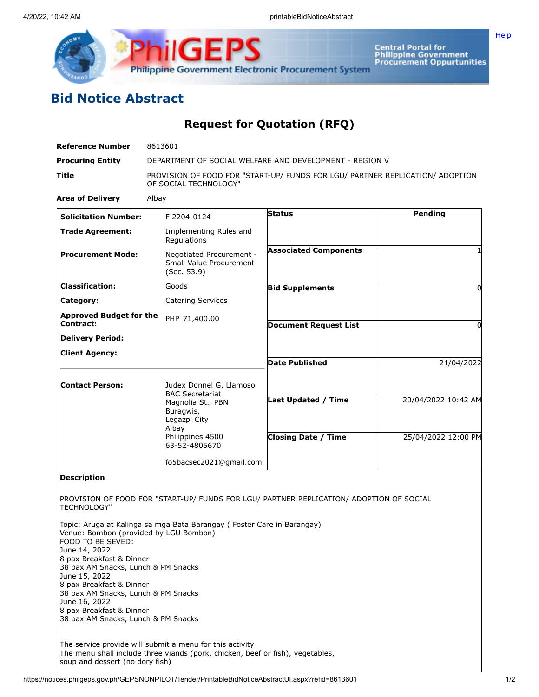

**Central Portal for<br>Philippine Government<br>Procurement Oppurtunities** 

**[Help](javascript:void(window.open()** 

## **Bid Notice Abstract**

**Request for Quotation (RFQ)**

| <b>Reference Number</b>                                                                                                                                                                                                                                                                                                                                             | 8613601                                                                                                                                                           |                                                          |                                            |
|---------------------------------------------------------------------------------------------------------------------------------------------------------------------------------------------------------------------------------------------------------------------------------------------------------------------------------------------------------------------|-------------------------------------------------------------------------------------------------------------------------------------------------------------------|----------------------------------------------------------|--------------------------------------------|
| <b>Procuring Entity</b>                                                                                                                                                                                                                                                                                                                                             |                                                                                                                                                                   | DEPARTMENT OF SOCIAL WELFARE AND DEVELOPMENT - REGION V  |                                            |
| Title                                                                                                                                                                                                                                                                                                                                                               | PROVISION OF FOOD FOR "START-UP/ FUNDS FOR LGU/ PARTNER REPLICATION/ ADOPTION<br>OF SOCIAL TECHNOLOGY"                                                            |                                                          |                                            |
| <b>Area of Delivery</b>                                                                                                                                                                                                                                                                                                                                             | Albay                                                                                                                                                             |                                                          |                                            |
| <b>Solicitation Number:</b>                                                                                                                                                                                                                                                                                                                                         | F 2204-0124                                                                                                                                                       | <b>Status</b>                                            | Pending                                    |
| <b>Trade Agreement:</b>                                                                                                                                                                                                                                                                                                                                             | Implementing Rules and<br>Regulations                                                                                                                             |                                                          |                                            |
| <b>Procurement Mode:</b>                                                                                                                                                                                                                                                                                                                                            | Negotiated Procurement -<br>Small Value Procurement<br>(Sec. 53.9)                                                                                                | <b>Associated Components</b>                             |                                            |
| <b>Classification:</b>                                                                                                                                                                                                                                                                                                                                              | Goods                                                                                                                                                             | <b>Bid Supplements</b>                                   | 0                                          |
| Category:                                                                                                                                                                                                                                                                                                                                                           | <b>Catering Services</b>                                                                                                                                          |                                                          |                                            |
| <b>Approved Budget for the</b>                                                                                                                                                                                                                                                                                                                                      | PHP 71,400.00                                                                                                                                                     |                                                          |                                            |
| Contract:                                                                                                                                                                                                                                                                                                                                                           |                                                                                                                                                                   | <b>Document Request List</b>                             | 0                                          |
| <b>Delivery Period:</b>                                                                                                                                                                                                                                                                                                                                             |                                                                                                                                                                   |                                                          |                                            |
| <b>Client Agency:</b>                                                                                                                                                                                                                                                                                                                                               |                                                                                                                                                                   | <b>Date Published</b>                                    | 21/04/2022                                 |
| <b>Contact Person:</b>                                                                                                                                                                                                                                                                                                                                              | Judex Donnel G. Llamoso<br><b>BAC Secretariat</b><br>Magnolia St., PBN<br>Buragwis,<br>Legazpi City<br>Albay<br>Philippines 4500                                  | <b>Last Updated / Time</b><br><b>Closing Date / Time</b> | 20/04/2022 10:42 AM<br>25/04/2022 12:00 PM |
|                                                                                                                                                                                                                                                                                                                                                                     | 63-52-4805670                                                                                                                                                     |                                                          |                                            |
|                                                                                                                                                                                                                                                                                                                                                                     | fo5bacsec2021@gmail.com                                                                                                                                           |                                                          |                                            |
| <b>Description</b><br><b>TECHNOLOGY"</b><br>Venue: Bombon (provided by LGU Bombon)<br>FOOD TO BE SEVED:<br>June 14, 2022<br>8 pax Breakfast & Dinner<br>38 pax AM Snacks, Lunch & PM Snacks<br>June 15, 2022<br>8 pax Breakfast & Dinner<br>38 pax AM Snacks, Lunch & PM Snacks<br>June 16, 2022<br>8 pax Breakfast & Dinner<br>38 pax AM Snacks, Lunch & PM Snacks | PROVISION OF FOOD FOR "START-UP/ FUNDS FOR LGU/ PARTNER REPLICATION/ ADOPTION OF SOCIAL<br>Topic: Aruga at Kalinga sa mga Bata Barangay (Foster Care in Barangay) |                                                          |                                            |
| soup and dessert (no dory fish)                                                                                                                                                                                                                                                                                                                                     | The service provide will submit a menu for this activity<br>The menu shall include three viands (pork, chicken, beef or fish), vegetables,                        |                                                          |                                            |